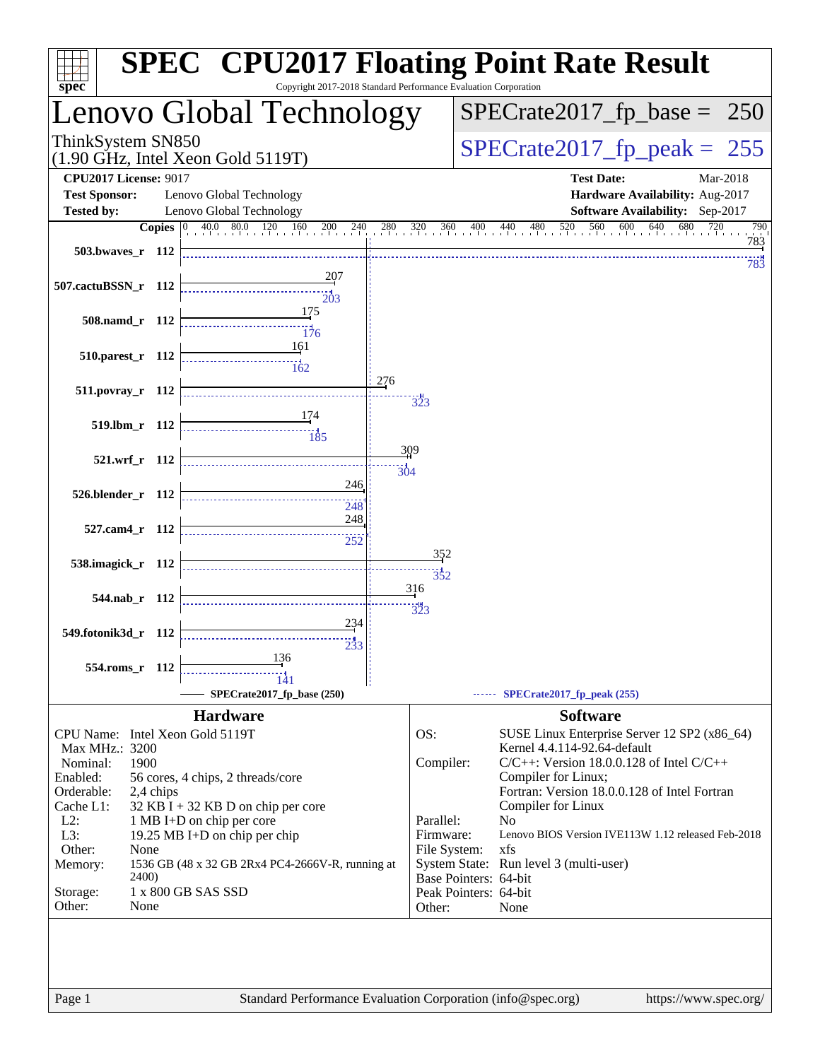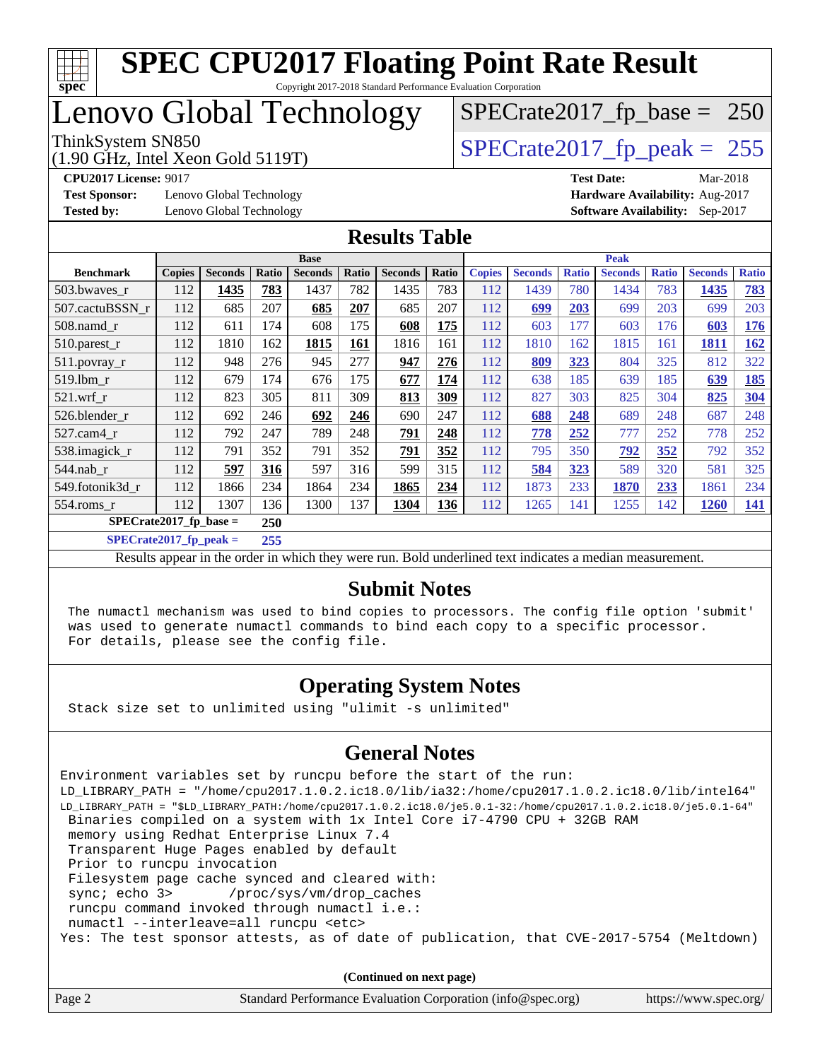

## Lenovo Global Technology

ThinkSystem SN850<br>(1.90 GHz, Intel Xeon Gold 5119T) [SPECrate2017\\_fp\\_peak =](http://www.spec.org/auto/cpu2017/Docs/result-fields.html#SPECrate2017fppeak) 255

[SPECrate2017\\_fp\\_base =](http://www.spec.org/auto/cpu2017/Docs/result-fields.html#SPECrate2017fpbase) 250

**[Test Sponsor:](http://www.spec.org/auto/cpu2017/Docs/result-fields.html#TestSponsor)** Lenovo Global Technology **[Hardware Availability:](http://www.spec.org/auto/cpu2017/Docs/result-fields.html#HardwareAvailability)** Aug-2017

(1.90 GHz, Intel Xeon Gold 5119T)

**[CPU2017 License:](http://www.spec.org/auto/cpu2017/Docs/result-fields.html#CPU2017License)** 9017 **[Test Date:](http://www.spec.org/auto/cpu2017/Docs/result-fields.html#TestDate)** Mar-2018 **[Tested by:](http://www.spec.org/auto/cpu2017/Docs/result-fields.html#Testedby)** Lenovo Global Technology **[Software Availability:](http://www.spec.org/auto/cpu2017/Docs/result-fields.html#SoftwareAvailability)** Sep-2017

### **[Results Table](http://www.spec.org/auto/cpu2017/Docs/result-fields.html#ResultsTable)**

|                           | <b>Base</b>   |                |       |                | <b>Peak</b> |                |       |               |                |              |                |              |                |              |
|---------------------------|---------------|----------------|-------|----------------|-------------|----------------|-------|---------------|----------------|--------------|----------------|--------------|----------------|--------------|
| <b>Benchmark</b>          | <b>Copies</b> | <b>Seconds</b> | Ratio | <b>Seconds</b> | Ratio       | <b>Seconds</b> | Ratio | <b>Copies</b> | <b>Seconds</b> | <b>Ratio</b> | <b>Seconds</b> | <b>Ratio</b> | <b>Seconds</b> | <b>Ratio</b> |
| 503.bwaves_r              | 112           | 1435           | 783   | 1437           | 782         | 1435           | 783   | 112           | 1439           | 780          | 1434           | 783          | 1435           | 783          |
| 507.cactuBSSN r           | 112           | 685            | 207   | 685            | 207         | 685            | 207   | 112           | 699            | 203          | 699            | 203          | 699            | 203          |
| $508$ .namd $r$           | 112           | 611            | 174   | 608            | 175         | 608            | 175   | 112           | 603            | 177          | 603            | 176          | 603            | 176          |
| 510.parest_r              | 112           | 1810           | 162   | 1815           | 161         | 1816           | 161   | 112           | 1810           | 162          | 1815           | 161          | 1811           | 162          |
| 511.povray_r              | 112           | 948            | 276   | 945            | 277         | 947            | 276   | 112           | 809            | 323          | 804            | 325          | 812            | 322          |
| 519.1bm r                 | 112           | 679            | 174   | 676            | 175         | 677            | 174   | 112           | 638            | 185          | 639            | 185          | 639            | 185          |
| $521$ .wrf r              | 112           | 823            | 305   | 811            | 309         | 813            | 309   | 112           | 827            | 303          | 825            | 304          | 825            | 304          |
| 526.blender r             | 112           | 692            | 246   | 692            | 246         | 690            | 247   | 112           | 688            | 248          | 689            | 248          | 687            | 248          |
| $527.cam4_r$              | 112           | 792            | 247   | 789            | 248         | 791            | 248   | 112           | 778            | 252          | 777            | 252          | 778            | 252          |
| 538.imagick_r             | 112           | 791            | 352   | 791            | 352         | 791            | 352   | 112           | 795            | 350          | 792            | 352          | 792            | 352          |
| 544.nab r                 | 112           | 597            | 316   | 597            | 316         | 599            | 315   | 112           | 584            | 323          | 589            | 320          | 581            | 325          |
| 549.fotonik3d_r           | 112           | 1866           | 234   | 1864           | 234         | 1865           | 234   | 112           | 1873           | 233          | 1870           | 233          | 1861           | 234          |
| $554$ .roms $r$           | 112           | 1307           | 136   | 1300           | 137         | 1304           | 136   | 112           | 1265           | 141          | 1255           | 142          | 1260           | 141          |
| $SPECrate2017_fp\_base =$ |               |                | 250   |                |             |                |       |               |                |              |                |              |                |              |

**[SPECrate2017\\_fp\\_peak =](http://www.spec.org/auto/cpu2017/Docs/result-fields.html#SPECrate2017fppeak) 255**

Results appear in the [order in which they were run](http://www.spec.org/auto/cpu2017/Docs/result-fields.html#RunOrder). Bold underlined text [indicates a median measurement](http://www.spec.org/auto/cpu2017/Docs/result-fields.html#Median).

#### **[Submit Notes](http://www.spec.org/auto/cpu2017/Docs/result-fields.html#SubmitNotes)**

 The numactl mechanism was used to bind copies to processors. The config file option 'submit' was used to generate numactl commands to bind each copy to a specific processor. For details, please see the config file.

### **[Operating System Notes](http://www.spec.org/auto/cpu2017/Docs/result-fields.html#OperatingSystemNotes)**

Stack size set to unlimited using "ulimit -s unlimited"

#### **[General Notes](http://www.spec.org/auto/cpu2017/Docs/result-fields.html#GeneralNotes)**

Environment variables set by runcpu before the start of the run: LD\_LIBRARY\_PATH = "/home/cpu2017.1.0.2.ic18.0/lib/ia32:/home/cpu2017.1.0.2.ic18.0/lib/intel64" LD\_LIBRARY\_PATH = "\$LD\_LIBRARY\_PATH:/home/cpu2017.1.0.2.ic18.0/je5.0.1-32:/home/cpu2017.1.0.2.ic18.0/je5.0.1-64" Binaries compiled on a system with 1x Intel Core i7-4790 CPU + 32GB RAM memory using Redhat Enterprise Linux 7.4 Transparent Huge Pages enabled by default Prior to runcpu invocation Filesystem page cache synced and cleared with: sync; echo 3> /proc/sys/vm/drop\_caches runcpu command invoked through numactl i.e.: numactl --interleave=all runcpu <etc> Yes: The test sponsor attests, as of date of publication, that CVE-2017-5754 (Meltdown)

**(Continued on next page)**

| Page 2 | Standard Performance Evaluation Corporation (info@spec.org) | https://www.spec.org/ |
|--------|-------------------------------------------------------------|-----------------------|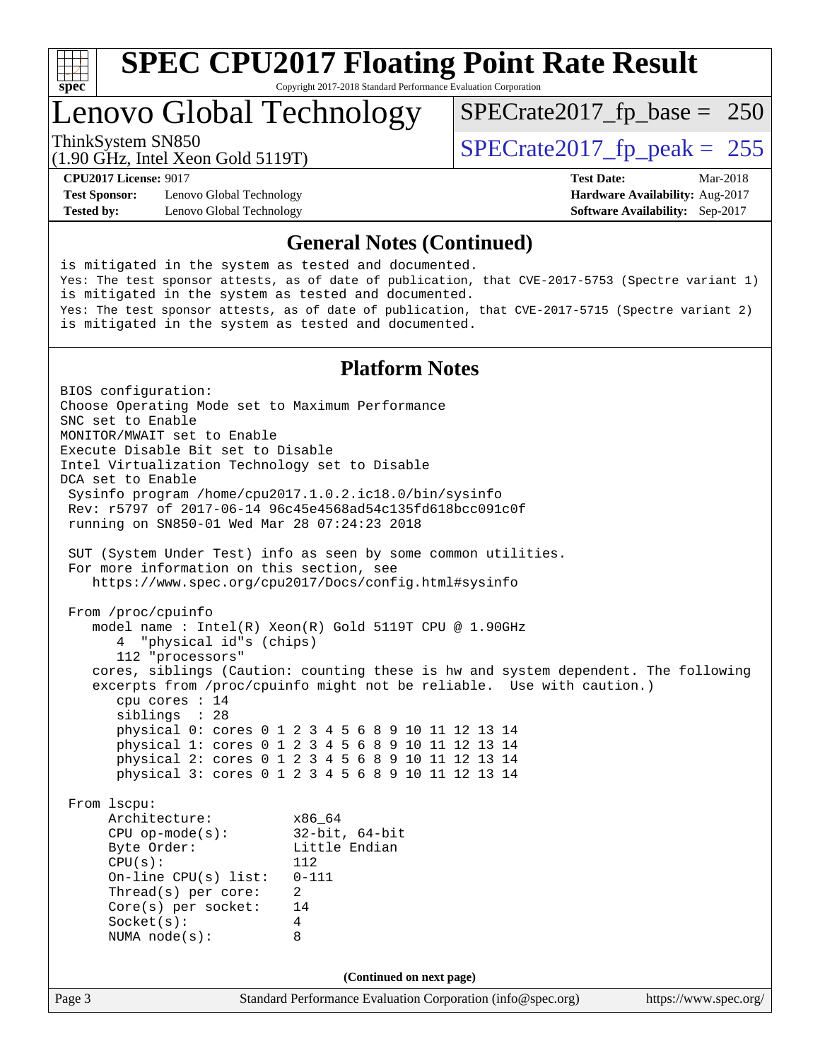

Copyright 2017-2018 Standard Performance Evaluation Corporation

## Lenovo Global Technology

ThinkSystem SN850<br>(1.90 GHz, Intel Year Gold 5119T)  $\begin{array}{c|c} |SPECTate2017_fp\_peak = 255 \end{array}$ 

[SPECrate2017\\_fp\\_base =](http://www.spec.org/auto/cpu2017/Docs/result-fields.html#SPECrate2017fpbase) 250

(1.90 GHz, Intel Xeon Gold 5119T)

**[Test Sponsor:](http://www.spec.org/auto/cpu2017/Docs/result-fields.html#TestSponsor)** Lenovo Global Technology **[Hardware Availability:](http://www.spec.org/auto/cpu2017/Docs/result-fields.html#HardwareAvailability)** Aug-2017 **[Tested by:](http://www.spec.org/auto/cpu2017/Docs/result-fields.html#Testedby)** Lenovo Global Technology **[Software Availability:](http://www.spec.org/auto/cpu2017/Docs/result-fields.html#SoftwareAvailability)** Sep-2017

**[CPU2017 License:](http://www.spec.org/auto/cpu2017/Docs/result-fields.html#CPU2017License)** 9017 **[Test Date:](http://www.spec.org/auto/cpu2017/Docs/result-fields.html#TestDate)** Mar-2018

### **[General Notes \(Continued\)](http://www.spec.org/auto/cpu2017/Docs/result-fields.html#GeneralNotes)**

is mitigated in the system as tested and documented. Yes: The test sponsor attests, as of date of publication, that CVE-2017-5753 (Spectre variant 1) is mitigated in the system as tested and documented. Yes: The test sponsor attests, as of date of publication, that CVE-2017-5715 (Spectre variant 2) is mitigated in the system as tested and documented.

### **[Platform Notes](http://www.spec.org/auto/cpu2017/Docs/result-fields.html#PlatformNotes)**

Page 3 Standard Performance Evaluation Corporation [\(info@spec.org\)](mailto:info@spec.org) <https://www.spec.org/> BIOS configuration: Choose Operating Mode set to Maximum Performance SNC set to Enable MONITOR/MWAIT set to Enable Execute Disable Bit set to Disable Intel Virtualization Technology set to Disable DCA set to Enable Sysinfo program /home/cpu2017.1.0.2.ic18.0/bin/sysinfo Rev: r5797 of 2017-06-14 96c45e4568ad54c135fd618bcc091c0f running on SN850-01 Wed Mar 28 07:24:23 2018 SUT (System Under Test) info as seen by some common utilities. For more information on this section, see <https://www.spec.org/cpu2017/Docs/config.html#sysinfo> From /proc/cpuinfo model name : Intel(R) Xeon(R) Gold 5119T CPU @ 1.90GHz 4 "physical id"s (chips) 112 "processors" cores, siblings (Caution: counting these is hw and system dependent. The following excerpts from /proc/cpuinfo might not be reliable. Use with caution.) cpu cores : 14 siblings : 28 physical 0: cores 0 1 2 3 4 5 6 8 9 10 11 12 13 14 physical 1: cores 0 1 2 3 4 5 6 8 9 10 11 12 13 14 physical 2: cores 0 1 2 3 4 5 6 8 9 10 11 12 13 14 physical 3: cores 0 1 2 3 4 5 6 8 9 10 11 12 13 14 From lscpu: Architecture: x86\_64 CPU op-mode(s): 32-bit, 64-bit Byte Order: Little Endian CPU(s): 112 On-line CPU(s) list: 0-111 Thread(s) per core: 2 Core(s) per socket: 14 Socket(s): 4 NUMA node(s): 8 **(Continued on next page)**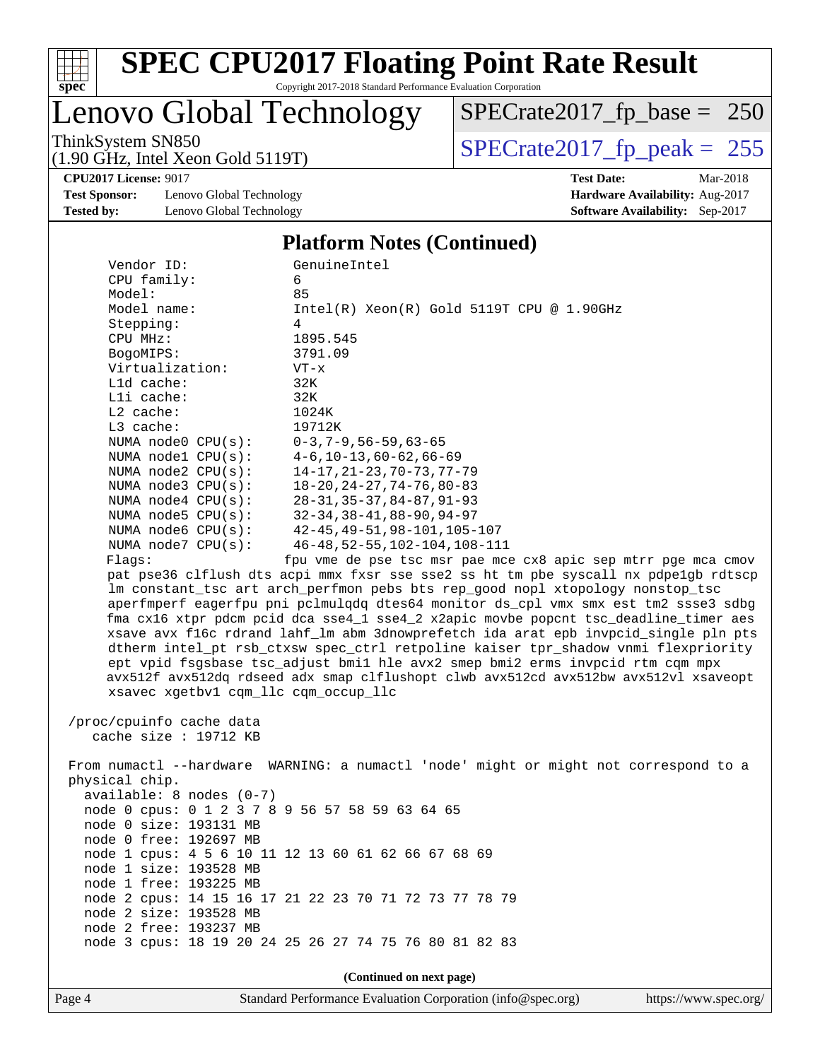

Copyright 2017-2018 Standard Performance Evaluation Corporation

# Lenovo Global Technology

ThinkSystem SN850<br>(1.90 GHz, Intel Xeon Gold 5119T) [SPECrate2017\\_fp\\_peak =](http://www.spec.org/auto/cpu2017/Docs/result-fields.html#SPECrate2017fppeak) 255 [SPECrate2017\\_fp\\_base =](http://www.spec.org/auto/cpu2017/Docs/result-fields.html#SPECrate2017fpbase) 250

(1.90 GHz, Intel Xeon Gold 5119T)

**[Test Sponsor:](http://www.spec.org/auto/cpu2017/Docs/result-fields.html#TestSponsor)** Lenovo Global Technology **[Hardware Availability:](http://www.spec.org/auto/cpu2017/Docs/result-fields.html#HardwareAvailability)** Aug-2017 **[Tested by:](http://www.spec.org/auto/cpu2017/Docs/result-fields.html#Testedby)** Lenovo Global Technology **[Software Availability:](http://www.spec.org/auto/cpu2017/Docs/result-fields.html#SoftwareAvailability)** Sep-2017

**[CPU2017 License:](http://www.spec.org/auto/cpu2017/Docs/result-fields.html#CPU2017License)** 9017 **[Test Date:](http://www.spec.org/auto/cpu2017/Docs/result-fields.html#TestDate)** Mar-2018

#### **[Platform Notes \(Continued\)](http://www.spec.org/auto/cpu2017/Docs/result-fields.html#PlatformNotes)**

| Vendor ID:                                      | GenuineIntel                                                                         |
|-------------------------------------------------|--------------------------------------------------------------------------------------|
| CPU family:                                     | 6                                                                                    |
| Model:                                          | 85                                                                                   |
| Model name:                                     | $Intel(R) Xeon(R) Gold 5119T CPU @ 1.90GHz$                                          |
| Stepping:                                       | 4                                                                                    |
| CPU MHz:                                        | 1895.545                                                                             |
| BogoMIPS:                                       | 3791.09                                                                              |
| Virtualization:                                 | $VT - x$                                                                             |
| L1d cache:                                      | 32K                                                                                  |
| Lli cache:                                      | 32K                                                                                  |
| $L2$ cache:                                     | 1024K                                                                                |
| L3 cache:                                       | 19712K                                                                               |
| NUMA $node0$ $CPU(s)$ :                         | $0-3, 7-9, 56-59, 63-65$                                                             |
| NUMA nodel $CPU(s):$                            | $4-6$ , $10-13$ , $60-62$ , $66-69$                                                  |
| NUMA $node2$ $CPU(s)$ :                         | $14 - 17, 21 - 23, 70 - 73, 77 - 79$                                                 |
| NUMA node3 CPU(s):                              | $18 - 20, 24 - 27, 74 - 76, 80 - 83$                                                 |
| NUMA node4 CPU(s):                              | $28 - 31, 35 - 37, 84 - 87, 91 - 93$                                                 |
| NUMA node5 CPU(s):                              | $32 - 34, 38 - 41, 88 - 90, 94 - 97$                                                 |
| NUMA node6 CPU(s):                              | $42 - 45, 49 - 51, 98 - 101, 105 - 107$                                              |
| NUMA node7 CPU(s):                              | $46 - 48, 52 - 55, 102 - 104, 108 - 111$                                             |
| Flagg:                                          | fpu vme de pse tsc msr pae mce cx8 apic sep mtrr pge mca cmov                        |
|                                                 | pat pse36 clflush dts acpi mmx fxsr sse sse2 ss ht tm pbe syscall nx pdpelgb rdtscp  |
|                                                 | lm constant_tsc art arch_perfmon pebs bts rep_good nopl xtopology nonstop_tsc        |
|                                                 | aperfmperf eagerfpu pni pclmulqdq dtes64 monitor ds_cpl vmx smx est tm2 ssse3 sdbg   |
|                                                 | fma cx16 xtpr pdcm pcid dca sse4_1 sse4_2 x2apic movbe popcnt tsc_deadline_timer aes |
|                                                 | xsave avx f16c rdrand lahf_lm abm 3dnowprefetch ida arat epb invpcid_single pln pts  |
|                                                 | dtherm intel_pt rsb_ctxsw spec_ctrl retpoline kaiser tpr_shadow vnmi flexpriority    |
|                                                 | ept vpid fsgsbase tsc_adjust bmil hle avx2 smep bmi2 erms invpcid rtm cqm mpx        |
|                                                 | avx512f avx512dq rdseed adx smap clflushopt clwb avx512cd avx512bw avx512vl xsaveopt |
| xsavec xgetbv1 cqm_llc cqm_occup_llc            |                                                                                      |
|                                                 |                                                                                      |
| /proc/cpuinfo cache data                        |                                                                                      |
| cache size : 19712 KB                           |                                                                                      |
|                                                 |                                                                                      |
|                                                 | From numactl --hardware WARNING: a numactl 'node' might or might not correspond to a |
| physical chip.                                  |                                                                                      |
| available: 8 nodes (0-7)                        |                                                                                      |
| node 0 cpus: 0 1 2 3 7 8 9 56 57 58 59 63 64 65 |                                                                                      |
| node 0 size: 193131 MB                          |                                                                                      |
| node 0 free: 192697 MB                          |                                                                                      |
|                                                 | node 1 cpus: 4 5 6 10 11 12 13 60 61 62 66 67 68 69                                  |
| node 1 size: 193528 MB                          |                                                                                      |
| node 1 free: 193225 MB                          |                                                                                      |
| node 2 size: 193528 MB                          | node 2 cpus: 14 15 16 17 21 22 23 70 71 72 73 77 78 79                               |
|                                                 |                                                                                      |
| node 2 free: 193237 MB                          |                                                                                      |
|                                                 | node 3 cpus: 18 19 20 24 25 26 27 74 75 76 80 81 82 83                               |
|                                                 |                                                                                      |
|                                                 | (Continued on next page)                                                             |

Page 4 Standard Performance Evaluation Corporation [\(info@spec.org\)](mailto:info@spec.org) <https://www.spec.org/>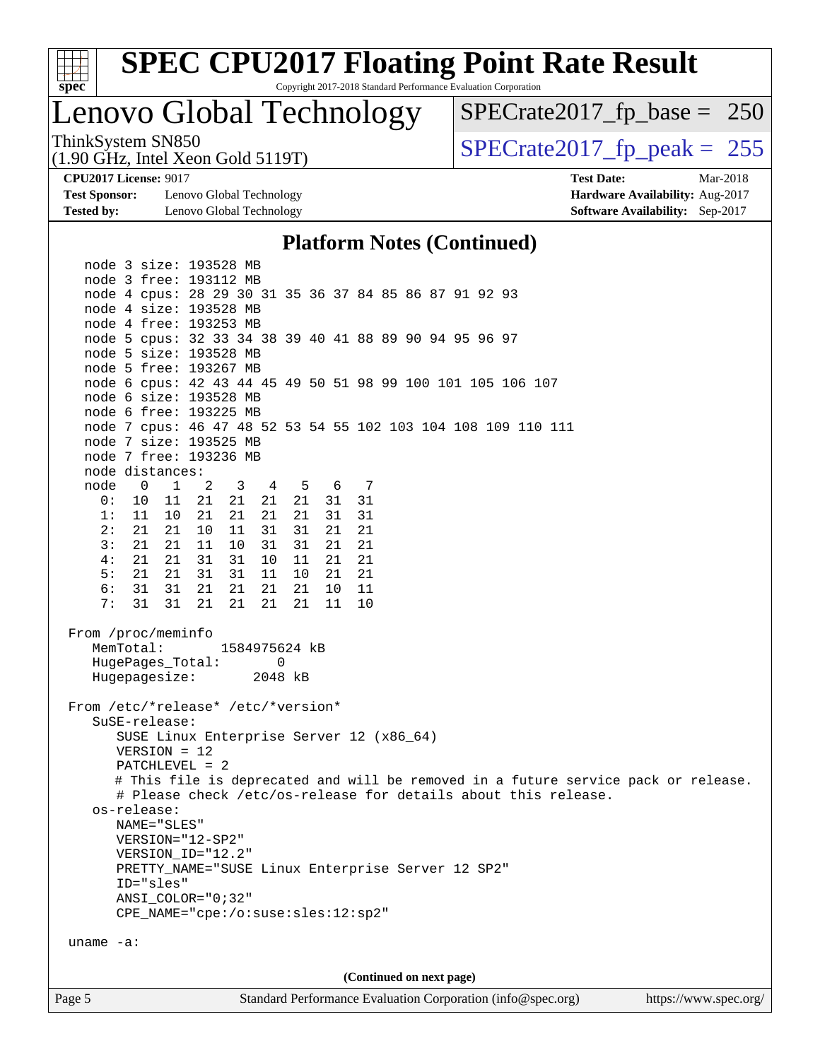

Copyright 2017-2018 Standard Performance Evaluation Corporation

## Lenovo Global Technology

ThinkSystem SN850<br>(1.90 GHz, Intel Xeon Gold 5119T)  $\begin{array}{r} | \text{SPECrate2017\_fp\_peak} = 255 \end{array}$ [SPECrate2017\\_fp\\_base =](http://www.spec.org/auto/cpu2017/Docs/result-fields.html#SPECrate2017fpbase) 250

(1.90 GHz, Intel Xeon Gold 5119T)

**[CPU2017 License:](http://www.spec.org/auto/cpu2017/Docs/result-fields.html#CPU2017License)** 9017 **[Test Date:](http://www.spec.org/auto/cpu2017/Docs/result-fields.html#TestDate)** Mar-2018

**[Test Sponsor:](http://www.spec.org/auto/cpu2017/Docs/result-fields.html#TestSponsor)** Lenovo Global Technology **[Hardware Availability:](http://www.spec.org/auto/cpu2017/Docs/result-fields.html#HardwareAvailability)** Aug-2017 **[Tested by:](http://www.spec.org/auto/cpu2017/Docs/result-fields.html#Testedby)** Lenovo Global Technology **[Software Availability:](http://www.spec.org/auto/cpu2017/Docs/result-fields.html#SoftwareAvailability)** Sep-2017

### **[Platform Notes \(Continued\)](http://www.spec.org/auto/cpu2017/Docs/result-fields.html#PlatformNotes)**

Page 5 Standard Performance Evaluation Corporation [\(info@spec.org\)](mailto:info@spec.org) <https://www.spec.org/> node 3 size: 193528 MB node 3 free: 193112 MB node 4 cpus: 28 29 30 31 35 36 37 84 85 86 87 91 92 93 node 4 size: 193528 MB node 4 free: 193253 MB node 5 cpus: 32 33 34 38 39 40 41 88 89 90 94 95 96 97 node 5 size: 193528 MB node 5 free: 193267 MB node 6 cpus: 42 43 44 45 49 50 51 98 99 100 101 105 106 107 node 6 size: 193528 MB node 6 free: 193225 MB node 7 cpus: 46 47 48 52 53 54 55 102 103 104 108 109 110 111 node 7 size: 193525 MB node 7 free: 193236 MB node distances: node 0 1 2 3 4 5 6 7<br>0: 10 11 21 21 21 21 31 31 0: 10 11 21 21 21 21 31 31 1: 11 10 21 21 21 21 31 31 2: 21 21 10 11 31 31 21 21 3: 21 21 11 10 31 31 21 21 4: 21 21 31 31 10 11 21 21 5: 21 21 31 31 11 10 21 21 6: 31 31 21 21 21 21 10 11 7: 31 31 21 21 21 21 11 10 From /proc/meminfo MemTotal: 1584975624 kB HugePages\_Total: 0 Hugepagesize: 2048 kB From /etc/\*release\* /etc/\*version\* SuSE-release: SUSE Linux Enterprise Server 12 (x86\_64) VERSION = 12 PATCHLEVEL = 2 # This file is deprecated and will be removed in a future service pack or release. # Please check /etc/os-release for details about this release. os-release: NAME="SLES" VERSION="12-SP2" VERSION\_ID="12.2" PRETTY\_NAME="SUSE Linux Enterprise Server 12 SP2" ID="sles" ANSI\_COLOR="0;32" CPE\_NAME="cpe:/o:suse:sles:12:sp2" uname -a: **(Continued on next page)**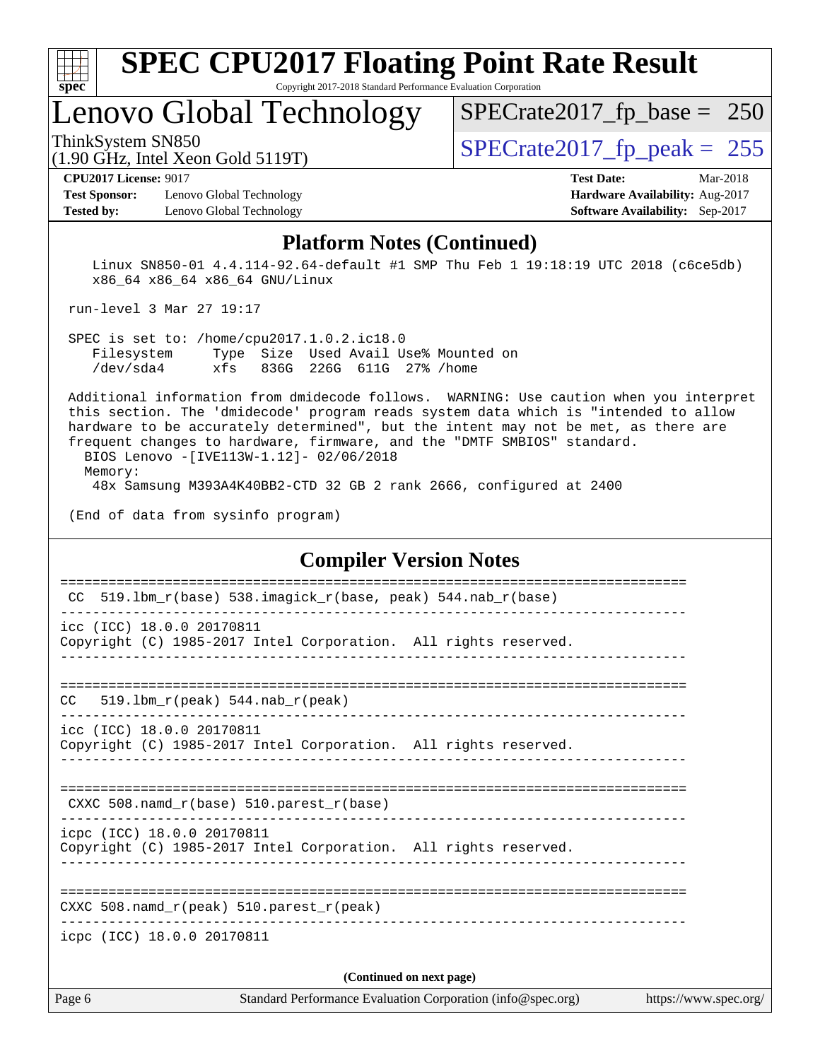

Copyright 2017-2018 Standard Performance Evaluation Corporation

### Lenovo Global Technology

ThinkSystem SN850<br>(1.90 GHz, Intel Xeon Gold 5119T)  $\begin{array}{r} | \text{SPECrate2017\_fp\_peak} = 255 \end{array}$ 

[SPECrate2017\\_fp\\_base =](http://www.spec.org/auto/cpu2017/Docs/result-fields.html#SPECrate2017fpbase) 250

### (1.90 GHz, Intel Xeon Gold 5119T)

**[Test Sponsor:](http://www.spec.org/auto/cpu2017/Docs/result-fields.html#TestSponsor)** Lenovo Global Technology **[Hardware Availability:](http://www.spec.org/auto/cpu2017/Docs/result-fields.html#HardwareAvailability)** Aug-2017

**[CPU2017 License:](http://www.spec.org/auto/cpu2017/Docs/result-fields.html#CPU2017License)** 9017 **[Test Date:](http://www.spec.org/auto/cpu2017/Docs/result-fields.html#TestDate)** Mar-2018 **[Tested by:](http://www.spec.org/auto/cpu2017/Docs/result-fields.html#Testedby)** Lenovo Global Technology **[Software Availability:](http://www.spec.org/auto/cpu2017/Docs/result-fields.html#SoftwareAvailability)** Sep-2017

### **[Platform Notes \(Continued\)](http://www.spec.org/auto/cpu2017/Docs/result-fields.html#PlatformNotes)**

 Linux SN850-01 4.4.114-92.64-default #1 SMP Thu Feb 1 19:18:19 UTC 2018 (c6ce5db) x86\_64 x86\_64 x86\_64 GNU/Linux

run-level 3 Mar 27 19:17

 SPEC is set to: /home/cpu2017.1.0.2.ic18.0 Filesystem Type Size Used Avail Use% Mounted on /dev/sda4 xfs 836G 226G 611G 27% /home

 Additional information from dmidecode follows. WARNING: Use caution when you interpret this section. The 'dmidecode' program reads system data which is "intended to allow hardware to be accurately determined", but the intent may not be met, as there are frequent changes to hardware, firmware, and the "DMTF SMBIOS" standard. BIOS Lenovo -[IVE113W-1.12]- 02/06/2018

Memory:

48x Samsung M393A4K40BB2-CTD 32 GB 2 rank 2666, configured at 2400

(End of data from sysinfo program)

#### **[Compiler Version Notes](http://www.spec.org/auto/cpu2017/Docs/result-fields.html#CompilerVersionNotes)**

| Page 6 | (Continued on next page)<br>Standard Performance Evaluation Corporation (info@spec.org)<br>https://www.spec.org/ |
|--------|------------------------------------------------------------------------------------------------------------------|
|        | icpc (ICC) 18.0.0 20170811                                                                                       |
|        | CXXC 508. namd $r(\text{peak})$ 510. parest $r(\text{peak})$                                                     |
|        |                                                                                                                  |
|        | icpc (ICC) 18.0.0 20170811<br>Copyright (C) 1985-2017 Intel Corporation. All rights reserved.                    |
|        | CXXC 508.namd_r(base) 510.parest_r(base)                                                                         |
|        | icc (ICC) 18.0.0 20170811<br>Copyright (C) 1985-2017 Intel Corporation. All rights reserved.                     |
| CC.    | 519.1bm $r(\text{peak})$ 544.nab $r(\text{peak})$                                                                |
|        | icc (ICC) 18.0.0 20170811<br>Copyright (C) 1985-2017 Intel Corporation. All rights reserved.                     |
| CC.    | 519.1bm_r(base) 538.imagick_r(base, peak) 544.nab_r(base)                                                        |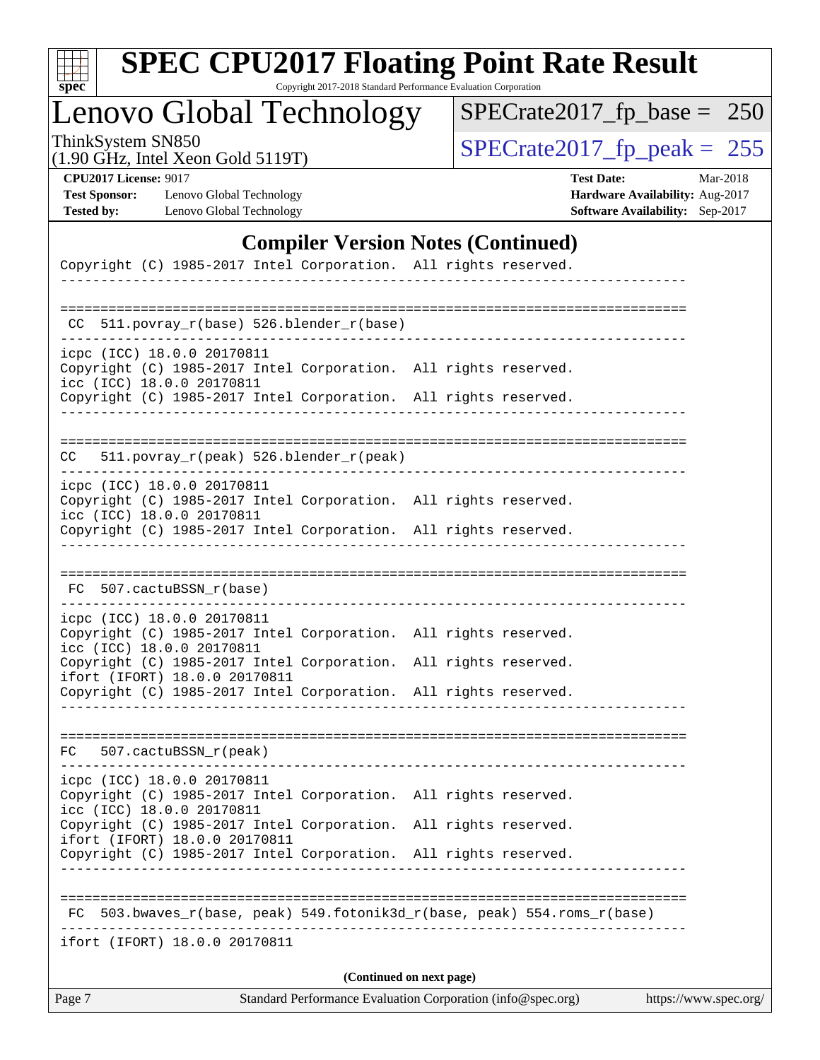| c<br>E<br>S<br>L<br>Ġ. |  |  |  |  |  |  |
|------------------------|--|--|--|--|--|--|

Copyright 2017-2018 Standard Performance Evaluation Corporation

## Lenovo Global Technology

ThinkSystem SN850<br>(1.90 GHz, Intel Xeon Gold 5119T) [SPECrate2017\\_fp\\_peak =](http://www.spec.org/auto/cpu2017/Docs/result-fields.html#SPECrate2017fppeak) 255

[SPECrate2017\\_fp\\_base =](http://www.spec.org/auto/cpu2017/Docs/result-fields.html#SPECrate2017fpbase) 250

(1.90 GHz, Intel Xeon Gold 5119T)

**[CPU2017 License:](http://www.spec.org/auto/cpu2017/Docs/result-fields.html#CPU2017License)** 9017 **[Test Date:](http://www.spec.org/auto/cpu2017/Docs/result-fields.html#TestDate)** Mar-2018 **[Test Sponsor:](http://www.spec.org/auto/cpu2017/Docs/result-fields.html#TestSponsor)** Lenovo Global Technology **[Hardware Availability:](http://www.spec.org/auto/cpu2017/Docs/result-fields.html#HardwareAvailability)** Aug-2017 **[Tested by:](http://www.spec.org/auto/cpu2017/Docs/result-fields.html#Testedby)** Lenovo Global Technology **[Software Availability:](http://www.spec.org/auto/cpu2017/Docs/result-fields.html#SoftwareAvailability)** Sep-2017

### **[Compiler Version Notes \(Continued\)](http://www.spec.org/auto/cpu2017/Docs/result-fields.html#CompilerVersionNotes)**

| Page 7<br>Standard Performance Evaluation Corporation (info@spec.org)<br>https://www.spec.org/                             |                      |  |  |  |  |
|----------------------------------------------------------------------------------------------------------------------------|----------------------|--|--|--|--|
| (Continued on next page)                                                                                                   |                      |  |  |  |  |
| ifort (IFORT) 18.0.0 20170811                                                                                              |                      |  |  |  |  |
| 503.bwaves_r(base, peak) 549.fotonik3d_r(base, peak) 554.roms_r(base)<br>FC                                                |                      |  |  |  |  |
|                                                                                                                            |                      |  |  |  |  |
| ifort (IFORT) 18.0.0 20170811<br>Copyright (C) 1985-2017 Intel Corporation. All rights reserved.                           |                      |  |  |  |  |
| icc (ICC) 18.0.0 20170811<br>Copyright (C) 1985-2017 Intel Corporation. All rights reserved.                               |                      |  |  |  |  |
| icpc (ICC) 18.0.0 20170811<br>Copyright (C) 1985-2017 Intel Corporation. All rights reserved.                              |                      |  |  |  |  |
| FC 507.cactuBSSN_r(peak)                                                                                                   |                      |  |  |  |  |
|                                                                                                                            |                      |  |  |  |  |
| Copyright (C) 1985-2017 Intel Corporation. All rights reserved.                                                            |                      |  |  |  |  |
| Copyright (C) 1985-2017 Intel Corporation.<br>ifort (IFORT) 18.0.0 20170811                                                | All rights reserved. |  |  |  |  |
| Copyright (C) 1985-2017 Intel Corporation. All rights reserved.<br>icc (ICC) 18.0.0 20170811                               |                      |  |  |  |  |
| icpc (ICC) 18.0.0 20170811                                                                                                 |                      |  |  |  |  |
| FC 507.cactuBSSN_r(base)                                                                                                   |                      |  |  |  |  |
|                                                                                                                            |                      |  |  |  |  |
| icc (ICC) 18.0.0 20170811<br>Copyright (C) 1985-2017 Intel Corporation. All rights reserved.                               |                      |  |  |  |  |
| icpc (ICC) 18.0.0 20170811<br>Copyright (C) 1985-2017 Intel Corporation. All rights reserved.                              |                      |  |  |  |  |
| 511.povray_r(peak) 526.blender_r(peak)<br>CC .                                                                             |                      |  |  |  |  |
|                                                                                                                            |                      |  |  |  |  |
| Copyright (C) 1985-2017 Intel Corporation. All rights reserved.<br>----------------------------------                      |                      |  |  |  |  |
| icpc (ICC) 18.0.0 20170811<br>Copyright (C) 1985-2017 Intel Corporation. All rights reserved.<br>icc (ICC) 18.0.0 20170811 |                      |  |  |  |  |
| CC 511.povray_r(base) 526.blender_r(base)<br>--------------------------                                                    |                      |  |  |  |  |
|                                                                                                                            |                      |  |  |  |  |
| -----------------------                                                                                                    |                      |  |  |  |  |
| Copyright (C) 1985-2017 Intel Corporation. All rights reserved.                                                            |                      |  |  |  |  |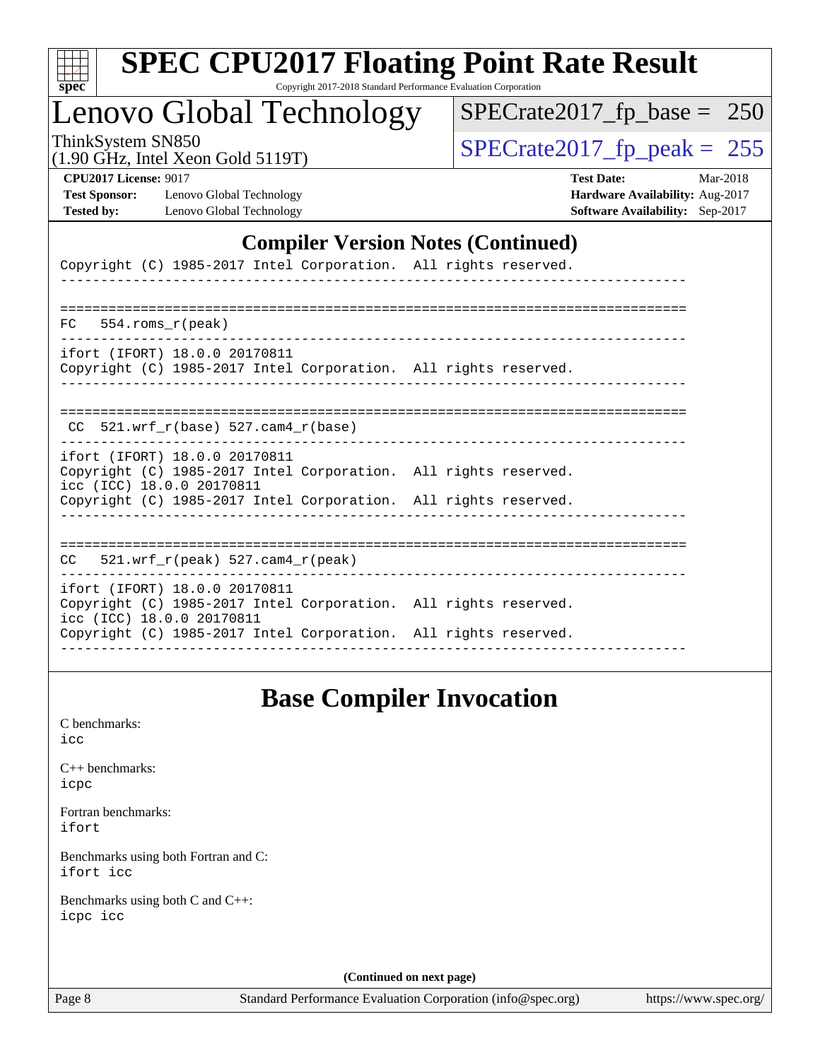| S<br>e<br>U |  |  |  |  |  |
|-------------|--|--|--|--|--|

Copyright 2017-2018 Standard Performance Evaluation Corporation

# Lenovo Global Technology

ThinkSystem SN850<br>(1.90 GHz, Intel Xeon Gold 5119T)  $\begin{array}{r} | \text{SPECrate2017\_fp\_peak} = 255 \end{array}$ 

[SPECrate2017\\_fp\\_base =](http://www.spec.org/auto/cpu2017/Docs/result-fields.html#SPECrate2017fpbase) 250

| $\frac{1}{2}$ |                                   |  |
|---------------|-----------------------------------|--|
|               | (1.90 GHz, Intel Xeon Gold 5119T) |  |

**[CPU2017 License:](http://www.spec.org/auto/cpu2017/Docs/result-fields.html#CPU2017License)** 9017 **[Test Date:](http://www.spec.org/auto/cpu2017/Docs/result-fields.html#TestDate)** Mar-2018 **[Test Sponsor:](http://www.spec.org/auto/cpu2017/Docs/result-fields.html#TestSponsor)** Lenovo Global Technology **[Hardware Availability:](http://www.spec.org/auto/cpu2017/Docs/result-fields.html#HardwareAvailability)** Aug-2017 **[Tested by:](http://www.spec.org/auto/cpu2017/Docs/result-fields.html#Testedby)** Lenovo Global Technology **[Software Availability:](http://www.spec.org/auto/cpu2017/Docs/result-fields.html#SoftwareAvailability)** Sep-2017

### **[Compiler Version Notes \(Continued\)](http://www.spec.org/auto/cpu2017/Docs/result-fields.html#CompilerVersionNotes)**

| Copyright (C) 1985-2017 Intel Corporation. All rights reserved.                                                                                                                                  |  |
|--------------------------------------------------------------------------------------------------------------------------------------------------------------------------------------------------|--|
|                                                                                                                                                                                                  |  |
| $FC$ 554. roms $r$ (peak)                                                                                                                                                                        |  |
| ifort (IFORT) 18.0.0 20170811<br>Copyright (C) 1985-2017 Intel Corporation. All rights reserved.                                                                                                 |  |
| $CC$ 521.wrf $r(base)$ 527.cam4 $r(base)$                                                                                                                                                        |  |
| ifort (IFORT) 18.0.0 20170811<br>Copyright (C) 1985-2017 Intel Corporation. All rights reserved.<br>icc (ICC) 18.0.0 20170811<br>Copyright (C) 1985-2017 Intel Corporation. All rights reserved. |  |
| $CC$ 521.wrf $r$ (peak) 527.cam4 $r$ (peak)                                                                                                                                                      |  |
| ifort (IFORT) 18.0.0 20170811<br>Copyright (C) 1985-2017 Intel Corporation. All rights reserved.<br>icc (ICC) 18.0.0 20170811<br>Copyright (C) 1985-2017 Intel Corporation. All rights reserved. |  |
|                                                                                                                                                                                                  |  |

### **[Base Compiler Invocation](http://www.spec.org/auto/cpu2017/Docs/result-fields.html#BaseCompilerInvocation)**

[C benchmarks](http://www.spec.org/auto/cpu2017/Docs/result-fields.html#Cbenchmarks): [icc](http://www.spec.org/cpu2017/results/res2018q2/cpu2017-20180511-05422.flags.html#user_CCbase_intel_icc_18.0_66fc1ee009f7361af1fbd72ca7dcefbb700085f36577c54f309893dd4ec40d12360134090235512931783d35fd58c0460139e722d5067c5574d8eaf2b3e37e92)

[C++ benchmarks:](http://www.spec.org/auto/cpu2017/Docs/result-fields.html#CXXbenchmarks) [icpc](http://www.spec.org/cpu2017/results/res2018q2/cpu2017-20180511-05422.flags.html#user_CXXbase_intel_icpc_18.0_c510b6838c7f56d33e37e94d029a35b4a7bccf4766a728ee175e80a419847e808290a9b78be685c44ab727ea267ec2f070ec5dc83b407c0218cded6866a35d07)

[Fortran benchmarks](http://www.spec.org/auto/cpu2017/Docs/result-fields.html#Fortranbenchmarks): [ifort](http://www.spec.org/cpu2017/results/res2018q2/cpu2017-20180511-05422.flags.html#user_FCbase_intel_ifort_18.0_8111460550e3ca792625aed983ce982f94888b8b503583aa7ba2b8303487b4d8a21a13e7191a45c5fd58ff318f48f9492884d4413fa793fd88dd292cad7027ca)

[Benchmarks using both Fortran and C](http://www.spec.org/auto/cpu2017/Docs/result-fields.html#BenchmarksusingbothFortranandC): [ifort](http://www.spec.org/cpu2017/results/res2018q2/cpu2017-20180511-05422.flags.html#user_CC_FCbase_intel_ifort_18.0_8111460550e3ca792625aed983ce982f94888b8b503583aa7ba2b8303487b4d8a21a13e7191a45c5fd58ff318f48f9492884d4413fa793fd88dd292cad7027ca) [icc](http://www.spec.org/cpu2017/results/res2018q2/cpu2017-20180511-05422.flags.html#user_CC_FCbase_intel_icc_18.0_66fc1ee009f7361af1fbd72ca7dcefbb700085f36577c54f309893dd4ec40d12360134090235512931783d35fd58c0460139e722d5067c5574d8eaf2b3e37e92)

[Benchmarks using both C and C++](http://www.spec.org/auto/cpu2017/Docs/result-fields.html#BenchmarksusingbothCandCXX): [icpc](http://www.spec.org/cpu2017/results/res2018q2/cpu2017-20180511-05422.flags.html#user_CC_CXXbase_intel_icpc_18.0_c510b6838c7f56d33e37e94d029a35b4a7bccf4766a728ee175e80a419847e808290a9b78be685c44ab727ea267ec2f070ec5dc83b407c0218cded6866a35d07) [icc](http://www.spec.org/cpu2017/results/res2018q2/cpu2017-20180511-05422.flags.html#user_CC_CXXbase_intel_icc_18.0_66fc1ee009f7361af1fbd72ca7dcefbb700085f36577c54f309893dd4ec40d12360134090235512931783d35fd58c0460139e722d5067c5574d8eaf2b3e37e92)

**(Continued on next page)**

Page 8 Standard Performance Evaluation Corporation [\(info@spec.org\)](mailto:info@spec.org) <https://www.spec.org/>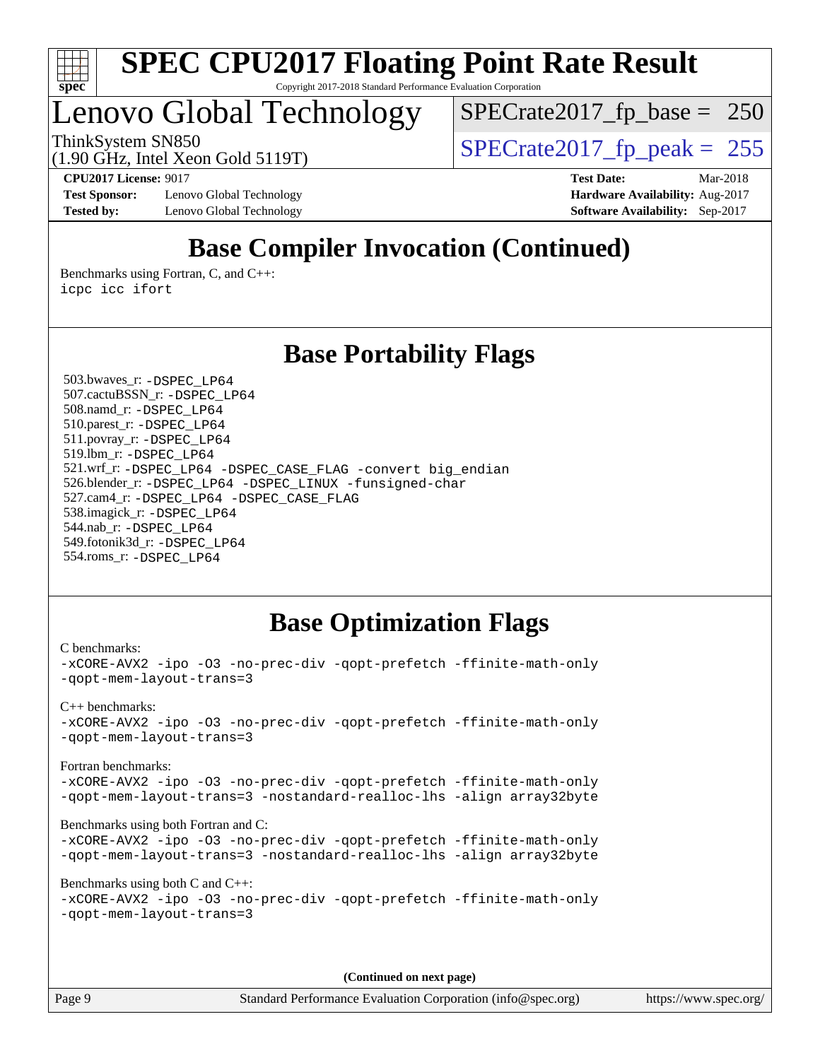

## Lenovo Global Technology

[SPECrate2017\\_fp\\_base =](http://www.spec.org/auto/cpu2017/Docs/result-fields.html#SPECrate2017fpbase) 250

(1.90 GHz, Intel Xeon Gold 5119T)

ThinkSystem SN850<br>(1.90 GHz, Intel Xeon Gold 5119T)  $\begin{array}{r} | \text{SPECrate2017\_fp\_peak} = 255 \end{array}$ 

**[CPU2017 License:](http://www.spec.org/auto/cpu2017/Docs/result-fields.html#CPU2017License)** 9017 **[Test Date:](http://www.spec.org/auto/cpu2017/Docs/result-fields.html#TestDate)** Mar-2018

**[Test Sponsor:](http://www.spec.org/auto/cpu2017/Docs/result-fields.html#TestSponsor)** Lenovo Global Technology **[Hardware Availability:](http://www.spec.org/auto/cpu2017/Docs/result-fields.html#HardwareAvailability)** Aug-2017 **[Tested by:](http://www.spec.org/auto/cpu2017/Docs/result-fields.html#Testedby)** Lenovo Global Technology **[Software Availability:](http://www.spec.org/auto/cpu2017/Docs/result-fields.html#SoftwareAvailability)** Sep-2017

## **[Base Compiler Invocation \(Continued\)](http://www.spec.org/auto/cpu2017/Docs/result-fields.html#BaseCompilerInvocation)**

[Benchmarks using Fortran, C, and C++:](http://www.spec.org/auto/cpu2017/Docs/result-fields.html#BenchmarksusingFortranCandCXX) [icpc](http://www.spec.org/cpu2017/results/res2018q2/cpu2017-20180511-05422.flags.html#user_CC_CXX_FCbase_intel_icpc_18.0_c510b6838c7f56d33e37e94d029a35b4a7bccf4766a728ee175e80a419847e808290a9b78be685c44ab727ea267ec2f070ec5dc83b407c0218cded6866a35d07) [icc](http://www.spec.org/cpu2017/results/res2018q2/cpu2017-20180511-05422.flags.html#user_CC_CXX_FCbase_intel_icc_18.0_66fc1ee009f7361af1fbd72ca7dcefbb700085f36577c54f309893dd4ec40d12360134090235512931783d35fd58c0460139e722d5067c5574d8eaf2b3e37e92) [ifort](http://www.spec.org/cpu2017/results/res2018q2/cpu2017-20180511-05422.flags.html#user_CC_CXX_FCbase_intel_ifort_18.0_8111460550e3ca792625aed983ce982f94888b8b503583aa7ba2b8303487b4d8a21a13e7191a45c5fd58ff318f48f9492884d4413fa793fd88dd292cad7027ca)

### **[Base Portability Flags](http://www.spec.org/auto/cpu2017/Docs/result-fields.html#BasePortabilityFlags)**

 503.bwaves\_r: [-DSPEC\\_LP64](http://www.spec.org/cpu2017/results/res2018q2/cpu2017-20180511-05422.flags.html#suite_basePORTABILITY503_bwaves_r_DSPEC_LP64) 507.cactuBSSN\_r: [-DSPEC\\_LP64](http://www.spec.org/cpu2017/results/res2018q2/cpu2017-20180511-05422.flags.html#suite_basePORTABILITY507_cactuBSSN_r_DSPEC_LP64) 508.namd\_r: [-DSPEC\\_LP64](http://www.spec.org/cpu2017/results/res2018q2/cpu2017-20180511-05422.flags.html#suite_basePORTABILITY508_namd_r_DSPEC_LP64) 510.parest\_r: [-DSPEC\\_LP64](http://www.spec.org/cpu2017/results/res2018q2/cpu2017-20180511-05422.flags.html#suite_basePORTABILITY510_parest_r_DSPEC_LP64) 511.povray\_r: [-DSPEC\\_LP64](http://www.spec.org/cpu2017/results/res2018q2/cpu2017-20180511-05422.flags.html#suite_basePORTABILITY511_povray_r_DSPEC_LP64) 519.lbm\_r: [-DSPEC\\_LP64](http://www.spec.org/cpu2017/results/res2018q2/cpu2017-20180511-05422.flags.html#suite_basePORTABILITY519_lbm_r_DSPEC_LP64) 521.wrf\_r: [-DSPEC\\_LP64](http://www.spec.org/cpu2017/results/res2018q2/cpu2017-20180511-05422.flags.html#suite_basePORTABILITY521_wrf_r_DSPEC_LP64) [-DSPEC\\_CASE\\_FLAG](http://www.spec.org/cpu2017/results/res2018q2/cpu2017-20180511-05422.flags.html#b521.wrf_r_baseCPORTABILITY_DSPEC_CASE_FLAG) [-convert big\\_endian](http://www.spec.org/cpu2017/results/res2018q2/cpu2017-20180511-05422.flags.html#user_baseFPORTABILITY521_wrf_r_convert_big_endian_c3194028bc08c63ac5d04de18c48ce6d347e4e562e8892b8bdbdc0214820426deb8554edfa529a3fb25a586e65a3d812c835984020483e7e73212c4d31a38223) 526.blender\_r: [-DSPEC\\_LP64](http://www.spec.org/cpu2017/results/res2018q2/cpu2017-20180511-05422.flags.html#suite_basePORTABILITY526_blender_r_DSPEC_LP64) [-DSPEC\\_LINUX](http://www.spec.org/cpu2017/results/res2018q2/cpu2017-20180511-05422.flags.html#b526.blender_r_baseCPORTABILITY_DSPEC_LINUX) [-funsigned-char](http://www.spec.org/cpu2017/results/res2018q2/cpu2017-20180511-05422.flags.html#user_baseCPORTABILITY526_blender_r_force_uchar_40c60f00ab013830e2dd6774aeded3ff59883ba5a1fc5fc14077f794d777847726e2a5858cbc7672e36e1b067e7e5c1d9a74f7176df07886a243d7cc18edfe67) 527.cam4\_r: [-DSPEC\\_LP64](http://www.spec.org/cpu2017/results/res2018q2/cpu2017-20180511-05422.flags.html#suite_basePORTABILITY527_cam4_r_DSPEC_LP64) [-DSPEC\\_CASE\\_FLAG](http://www.spec.org/cpu2017/results/res2018q2/cpu2017-20180511-05422.flags.html#b527.cam4_r_baseCPORTABILITY_DSPEC_CASE_FLAG) 538.imagick\_r: [-DSPEC\\_LP64](http://www.spec.org/cpu2017/results/res2018q2/cpu2017-20180511-05422.flags.html#suite_basePORTABILITY538_imagick_r_DSPEC_LP64) 544.nab\_r: [-DSPEC\\_LP64](http://www.spec.org/cpu2017/results/res2018q2/cpu2017-20180511-05422.flags.html#suite_basePORTABILITY544_nab_r_DSPEC_LP64) 549.fotonik3d\_r: [-DSPEC\\_LP64](http://www.spec.org/cpu2017/results/res2018q2/cpu2017-20180511-05422.flags.html#suite_basePORTABILITY549_fotonik3d_r_DSPEC_LP64) 554.roms\_r: [-DSPEC\\_LP64](http://www.spec.org/cpu2017/results/res2018q2/cpu2017-20180511-05422.flags.html#suite_basePORTABILITY554_roms_r_DSPEC_LP64)

### **[Base Optimization Flags](http://www.spec.org/auto/cpu2017/Docs/result-fields.html#BaseOptimizationFlags)**

```
C benchmarks: 
-xCORE-AVX2 -ipo -O3 -no-prec-div -qopt-prefetch -ffinite-math-only
-qopt-mem-layout-trans=3
C++ benchmarks: 
-xCORE-AVX2 -ipo -O3 -no-prec-div -qopt-prefetch -ffinite-math-only
-qopt-mem-layout-trans=3
Fortran benchmarks: 
-xCORE-AVX2 -ipo -O3 -no-prec-div -qopt-prefetch -ffinite-math-only
-qopt-mem-layout-trans=3 -nostandard-realloc-lhs -align array32byte
Benchmarks using both Fortran and C: 
-xCORE-AVX2 -ipo -O3 -no-prec-div -qopt-prefetch -ffinite-math-only
-qopt-mem-layout-trans=3 -nostandard-realloc-lhs -align array32byte
Benchmarks using both C and C++: 
-xCORE-AVX2 -ipo -O3 -no-prec-div -qopt-prefetch -ffinite-math-only
-qopt-mem-layout-trans=3
```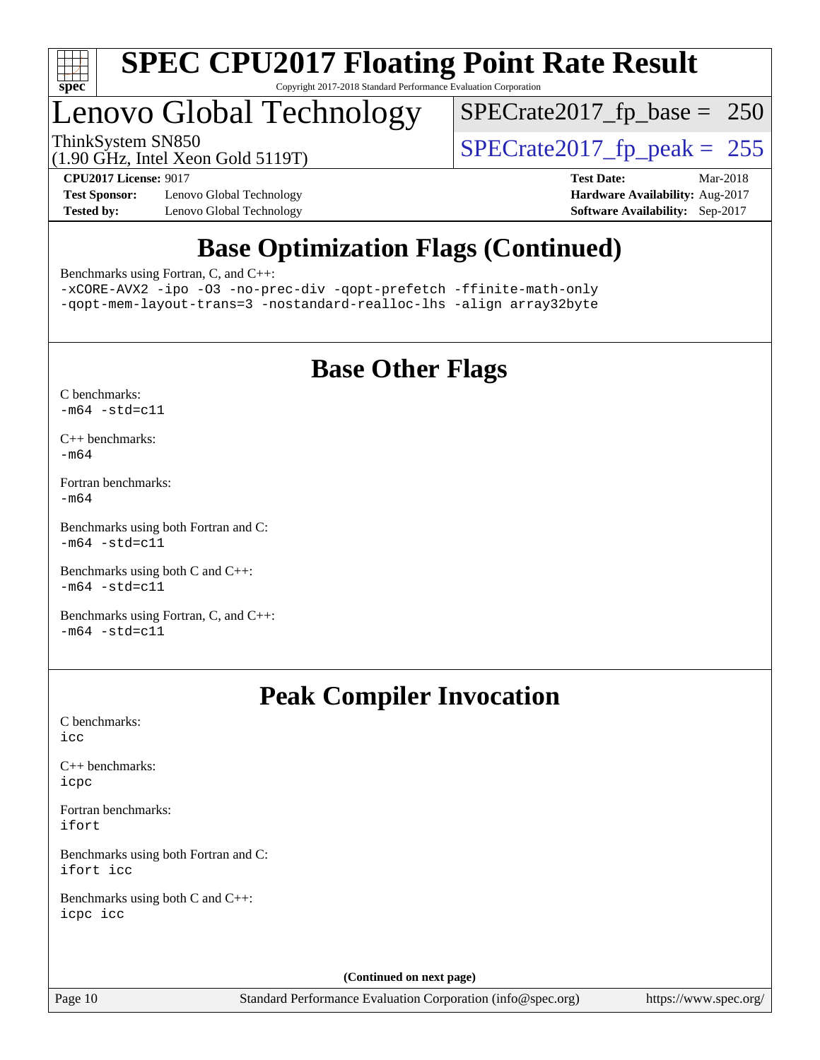

## Lenovo Global Technology

ThinkSystem SN850<br>(1.90 GHz, Intel Xeon Gold 5119T) [SPECrate2017\\_fp\\_peak =](http://www.spec.org/auto/cpu2017/Docs/result-fields.html#SPECrate2017fppeak) 255 [SPECrate2017\\_fp\\_base =](http://www.spec.org/auto/cpu2017/Docs/result-fields.html#SPECrate2017fpbase) 250

(1.90 GHz, Intel Xeon Gold 5119T)

**[Test Sponsor:](http://www.spec.org/auto/cpu2017/Docs/result-fields.html#TestSponsor)** Lenovo Global Technology **[Hardware Availability:](http://www.spec.org/auto/cpu2017/Docs/result-fields.html#HardwareAvailability)** Aug-2017 **[Tested by:](http://www.spec.org/auto/cpu2017/Docs/result-fields.html#Testedby)** Lenovo Global Technology **[Software Availability:](http://www.spec.org/auto/cpu2017/Docs/result-fields.html#SoftwareAvailability)** Sep-2017

**[CPU2017 License:](http://www.spec.org/auto/cpu2017/Docs/result-fields.html#CPU2017License)** 9017 **[Test Date:](http://www.spec.org/auto/cpu2017/Docs/result-fields.html#TestDate)** Mar-2018

## **[Base Optimization Flags \(Continued\)](http://www.spec.org/auto/cpu2017/Docs/result-fields.html#BaseOptimizationFlags)**

[Benchmarks using Fortran, C, and C++:](http://www.spec.org/auto/cpu2017/Docs/result-fields.html#BenchmarksusingFortranCandCXX)

[-xCORE-AVX2](http://www.spec.org/cpu2017/results/res2018q2/cpu2017-20180511-05422.flags.html#user_CC_CXX_FCbase_f-xCORE-AVX2) [-ipo](http://www.spec.org/cpu2017/results/res2018q2/cpu2017-20180511-05422.flags.html#user_CC_CXX_FCbase_f-ipo) [-O3](http://www.spec.org/cpu2017/results/res2018q2/cpu2017-20180511-05422.flags.html#user_CC_CXX_FCbase_f-O3) [-no-prec-div](http://www.spec.org/cpu2017/results/res2018q2/cpu2017-20180511-05422.flags.html#user_CC_CXX_FCbase_f-no-prec-div) [-qopt-prefetch](http://www.spec.org/cpu2017/results/res2018q2/cpu2017-20180511-05422.flags.html#user_CC_CXX_FCbase_f-qopt-prefetch) [-ffinite-math-only](http://www.spec.org/cpu2017/results/res2018q2/cpu2017-20180511-05422.flags.html#user_CC_CXX_FCbase_f_finite_math_only_cb91587bd2077682c4b38af759c288ed7c732db004271a9512da14a4f8007909a5f1427ecbf1a0fb78ff2a814402c6114ac565ca162485bbcae155b5e4258871) [-qopt-mem-layout-trans=3](http://www.spec.org/cpu2017/results/res2018q2/cpu2017-20180511-05422.flags.html#user_CC_CXX_FCbase_f-qopt-mem-layout-trans_de80db37974c74b1f0e20d883f0b675c88c3b01e9d123adea9b28688d64333345fb62bc4a798493513fdb68f60282f9a726aa07f478b2f7113531aecce732043) [-nostandard-realloc-lhs](http://www.spec.org/cpu2017/results/res2018q2/cpu2017-20180511-05422.flags.html#user_CC_CXX_FCbase_f_2003_std_realloc_82b4557e90729c0f113870c07e44d33d6f5a304b4f63d4c15d2d0f1fab99f5daaed73bdb9275d9ae411527f28b936061aa8b9c8f2d63842963b95c9dd6426b8a) [-align array32byte](http://www.spec.org/cpu2017/results/res2018q2/cpu2017-20180511-05422.flags.html#user_CC_CXX_FCbase_align_array32byte_b982fe038af199962ba9a80c053b8342c548c85b40b8e86eb3cc33dee0d7986a4af373ac2d51c3f7cf710a18d62fdce2948f201cd044323541f22fc0fffc51b6)

## **[Base Other Flags](http://www.spec.org/auto/cpu2017/Docs/result-fields.html#BaseOtherFlags)**

- [C benchmarks](http://www.spec.org/auto/cpu2017/Docs/result-fields.html#Cbenchmarks):  $-m64 - std= c11$  $-m64 - std= c11$
- [C++ benchmarks:](http://www.spec.org/auto/cpu2017/Docs/result-fields.html#CXXbenchmarks) [-m64](http://www.spec.org/cpu2017/results/res2018q2/cpu2017-20180511-05422.flags.html#user_CXXbase_intel_intel64_18.0_af43caccfc8ded86e7699f2159af6efc7655f51387b94da716254467f3c01020a5059329e2569e4053f409e7c9202a7efc638f7a6d1ffb3f52dea4a3e31d82ab)
- [Fortran benchmarks](http://www.spec.org/auto/cpu2017/Docs/result-fields.html#Fortranbenchmarks): [-m64](http://www.spec.org/cpu2017/results/res2018q2/cpu2017-20180511-05422.flags.html#user_FCbase_intel_intel64_18.0_af43caccfc8ded86e7699f2159af6efc7655f51387b94da716254467f3c01020a5059329e2569e4053f409e7c9202a7efc638f7a6d1ffb3f52dea4a3e31d82ab)

[Benchmarks using both Fortran and C](http://www.spec.org/auto/cpu2017/Docs/result-fields.html#BenchmarksusingbothFortranandC):  $-m64 - std= c11$  $-m64 - std= c11$ 

[Benchmarks using both C and C++](http://www.spec.org/auto/cpu2017/Docs/result-fields.html#BenchmarksusingbothCandCXX):  $-m64 - std= c11$  $-m64 - std= c11$ 

[Benchmarks using Fortran, C, and C++:](http://www.spec.org/auto/cpu2017/Docs/result-fields.html#BenchmarksusingFortranCandCXX)  $-m64 - std= c11$  $-m64 - std= c11$ 

### **[Peak Compiler Invocation](http://www.spec.org/auto/cpu2017/Docs/result-fields.html#PeakCompilerInvocation)**

[C benchmarks](http://www.spec.org/auto/cpu2017/Docs/result-fields.html#Cbenchmarks): [icc](http://www.spec.org/cpu2017/results/res2018q2/cpu2017-20180511-05422.flags.html#user_CCpeak_intel_icc_18.0_66fc1ee009f7361af1fbd72ca7dcefbb700085f36577c54f309893dd4ec40d12360134090235512931783d35fd58c0460139e722d5067c5574d8eaf2b3e37e92)

[C++ benchmarks:](http://www.spec.org/auto/cpu2017/Docs/result-fields.html#CXXbenchmarks) [icpc](http://www.spec.org/cpu2017/results/res2018q2/cpu2017-20180511-05422.flags.html#user_CXXpeak_intel_icpc_18.0_c510b6838c7f56d33e37e94d029a35b4a7bccf4766a728ee175e80a419847e808290a9b78be685c44ab727ea267ec2f070ec5dc83b407c0218cded6866a35d07)

[Fortran benchmarks](http://www.spec.org/auto/cpu2017/Docs/result-fields.html#Fortranbenchmarks): [ifort](http://www.spec.org/cpu2017/results/res2018q2/cpu2017-20180511-05422.flags.html#user_FCpeak_intel_ifort_18.0_8111460550e3ca792625aed983ce982f94888b8b503583aa7ba2b8303487b4d8a21a13e7191a45c5fd58ff318f48f9492884d4413fa793fd88dd292cad7027ca)

[Benchmarks using both Fortran and C](http://www.spec.org/auto/cpu2017/Docs/result-fields.html#BenchmarksusingbothFortranandC): [ifort](http://www.spec.org/cpu2017/results/res2018q2/cpu2017-20180511-05422.flags.html#user_CC_FCpeak_intel_ifort_18.0_8111460550e3ca792625aed983ce982f94888b8b503583aa7ba2b8303487b4d8a21a13e7191a45c5fd58ff318f48f9492884d4413fa793fd88dd292cad7027ca) [icc](http://www.spec.org/cpu2017/results/res2018q2/cpu2017-20180511-05422.flags.html#user_CC_FCpeak_intel_icc_18.0_66fc1ee009f7361af1fbd72ca7dcefbb700085f36577c54f309893dd4ec40d12360134090235512931783d35fd58c0460139e722d5067c5574d8eaf2b3e37e92)

[Benchmarks using both C and C++](http://www.spec.org/auto/cpu2017/Docs/result-fields.html#BenchmarksusingbothCandCXX): [icpc](http://www.spec.org/cpu2017/results/res2018q2/cpu2017-20180511-05422.flags.html#user_CC_CXXpeak_intel_icpc_18.0_c510b6838c7f56d33e37e94d029a35b4a7bccf4766a728ee175e80a419847e808290a9b78be685c44ab727ea267ec2f070ec5dc83b407c0218cded6866a35d07) [icc](http://www.spec.org/cpu2017/results/res2018q2/cpu2017-20180511-05422.flags.html#user_CC_CXXpeak_intel_icc_18.0_66fc1ee009f7361af1fbd72ca7dcefbb700085f36577c54f309893dd4ec40d12360134090235512931783d35fd58c0460139e722d5067c5574d8eaf2b3e37e92)

**(Continued on next page)**

Page 10 Standard Performance Evaluation Corporation [\(info@spec.org\)](mailto:info@spec.org) <https://www.spec.org/>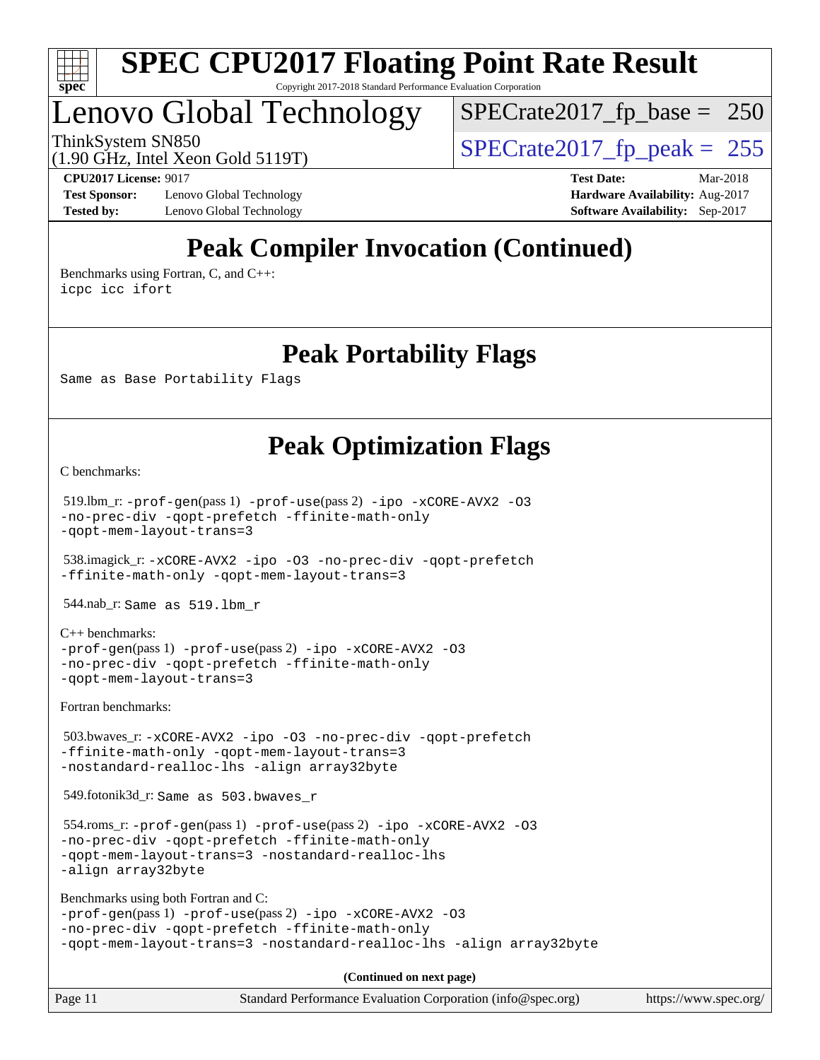

## Lenovo Global Technology

[SPECrate2017\\_fp\\_base =](http://www.spec.org/auto/cpu2017/Docs/result-fields.html#SPECrate2017fpbase) 250

(1.90 GHz, Intel Xeon Gold 5119T)

ThinkSystem SN850<br>(1.90 GHz, Intel Xeon Gold 5119T)  $\begin{array}{r} | \text{SPECrate2017\_fp\_peak} = 255 \end{array}$ 

**[Test Sponsor:](http://www.spec.org/auto/cpu2017/Docs/result-fields.html#TestSponsor)** Lenovo Global Technology **[Hardware Availability:](http://www.spec.org/auto/cpu2017/Docs/result-fields.html#HardwareAvailability)** Aug-2017 **[Tested by:](http://www.spec.org/auto/cpu2017/Docs/result-fields.html#Testedby)** Lenovo Global Technology **[Software Availability:](http://www.spec.org/auto/cpu2017/Docs/result-fields.html#SoftwareAvailability)** Sep-2017

**[CPU2017 License:](http://www.spec.org/auto/cpu2017/Docs/result-fields.html#CPU2017License)** 9017 **[Test Date:](http://www.spec.org/auto/cpu2017/Docs/result-fields.html#TestDate)** Mar-2018

## **[Peak Compiler Invocation \(Continued\)](http://www.spec.org/auto/cpu2017/Docs/result-fields.html#PeakCompilerInvocation)**

[Benchmarks using Fortran, C, and C++:](http://www.spec.org/auto/cpu2017/Docs/result-fields.html#BenchmarksusingFortranCandCXX) [icpc](http://www.spec.org/cpu2017/results/res2018q2/cpu2017-20180511-05422.flags.html#user_CC_CXX_FCpeak_intel_icpc_18.0_c510b6838c7f56d33e37e94d029a35b4a7bccf4766a728ee175e80a419847e808290a9b78be685c44ab727ea267ec2f070ec5dc83b407c0218cded6866a35d07) [icc](http://www.spec.org/cpu2017/results/res2018q2/cpu2017-20180511-05422.flags.html#user_CC_CXX_FCpeak_intel_icc_18.0_66fc1ee009f7361af1fbd72ca7dcefbb700085f36577c54f309893dd4ec40d12360134090235512931783d35fd58c0460139e722d5067c5574d8eaf2b3e37e92) [ifort](http://www.spec.org/cpu2017/results/res2018q2/cpu2017-20180511-05422.flags.html#user_CC_CXX_FCpeak_intel_ifort_18.0_8111460550e3ca792625aed983ce982f94888b8b503583aa7ba2b8303487b4d8a21a13e7191a45c5fd58ff318f48f9492884d4413fa793fd88dd292cad7027ca)

### **[Peak Portability Flags](http://www.spec.org/auto/cpu2017/Docs/result-fields.html#PeakPortabilityFlags)**

Same as Base Portability Flags

### **[Peak Optimization Flags](http://www.spec.org/auto/cpu2017/Docs/result-fields.html#PeakOptimizationFlags)**

[C benchmarks](http://www.spec.org/auto/cpu2017/Docs/result-fields.html#Cbenchmarks):

```
 519.lbm_r: -prof-gen(pass 1) -prof-use(pass 2) -ipo -xCORE-AVX2 -O3
-no-prec-div -qopt-prefetch -ffinite-math-only
-qopt-mem-layout-trans=3
```
 538.imagick\_r: [-xCORE-AVX2](http://www.spec.org/cpu2017/results/res2018q2/cpu2017-20180511-05422.flags.html#user_peakCOPTIMIZE538_imagick_r_f-xCORE-AVX2) [-ipo](http://www.spec.org/cpu2017/results/res2018q2/cpu2017-20180511-05422.flags.html#user_peakCOPTIMIZE538_imagick_r_f-ipo) [-O3](http://www.spec.org/cpu2017/results/res2018q2/cpu2017-20180511-05422.flags.html#user_peakCOPTIMIZE538_imagick_r_f-O3) [-no-prec-div](http://www.spec.org/cpu2017/results/res2018q2/cpu2017-20180511-05422.flags.html#user_peakCOPTIMIZE538_imagick_r_f-no-prec-div) [-qopt-prefetch](http://www.spec.org/cpu2017/results/res2018q2/cpu2017-20180511-05422.flags.html#user_peakCOPTIMIZE538_imagick_r_f-qopt-prefetch) [-ffinite-math-only](http://www.spec.org/cpu2017/results/res2018q2/cpu2017-20180511-05422.flags.html#user_peakCOPTIMIZE538_imagick_r_f_finite_math_only_cb91587bd2077682c4b38af759c288ed7c732db004271a9512da14a4f8007909a5f1427ecbf1a0fb78ff2a814402c6114ac565ca162485bbcae155b5e4258871) [-qopt-mem-layout-trans=3](http://www.spec.org/cpu2017/results/res2018q2/cpu2017-20180511-05422.flags.html#user_peakCOPTIMIZE538_imagick_r_f-qopt-mem-layout-trans_de80db37974c74b1f0e20d883f0b675c88c3b01e9d123adea9b28688d64333345fb62bc4a798493513fdb68f60282f9a726aa07f478b2f7113531aecce732043)

544.nab\_r: Same as 519.lbm\_r

[C++ benchmarks:](http://www.spec.org/auto/cpu2017/Docs/result-fields.html#CXXbenchmarks)

```
-prof-gen(pass 1) -prof-use(pass 2) -ipo -xCORE-AVX2 -O3
-no-prec-div -qopt-prefetch -ffinite-math-only
-qopt-mem-layout-trans=3
```
[Fortran benchmarks](http://www.spec.org/auto/cpu2017/Docs/result-fields.html#Fortranbenchmarks):

```
 503.bwaves_r: -xCORE-AVX2 -ipo -O3 -no-prec-div -qopt-prefetch
-ffinite-math-only -qopt-mem-layout-trans=3
-nostandard-realloc-lhs -align array32byte
```
549.fotonik3d\_r: Same as 503.bwaves\_r

```
 554.roms_r: -prof-gen(pass 1) -prof-use(pass 2) -ipo -xCORE-AVX2 -O3
-no-prec-div -qopt-prefetch -ffinite-math-only
-qopt-mem-layout-trans=3 -nostandard-realloc-lhs
-align array32byte
```

```
Benchmarks using both Fortran and C: 
-prof-gen(pass 1) -prof-use(pass 2) -ipo -xCORE-AVX2 -O3
-no-prec-div -qopt-prefetch -ffinite-math-only
-qopt-mem-layout-trans=3 -nostandard-realloc-lhs -align array32byte
```
**(Continued on next page)**

| Page 11 | Standard Performance Evaluation Corporation (info@spec.org) | https://www.spec.org/ |
|---------|-------------------------------------------------------------|-----------------------|
|---------|-------------------------------------------------------------|-----------------------|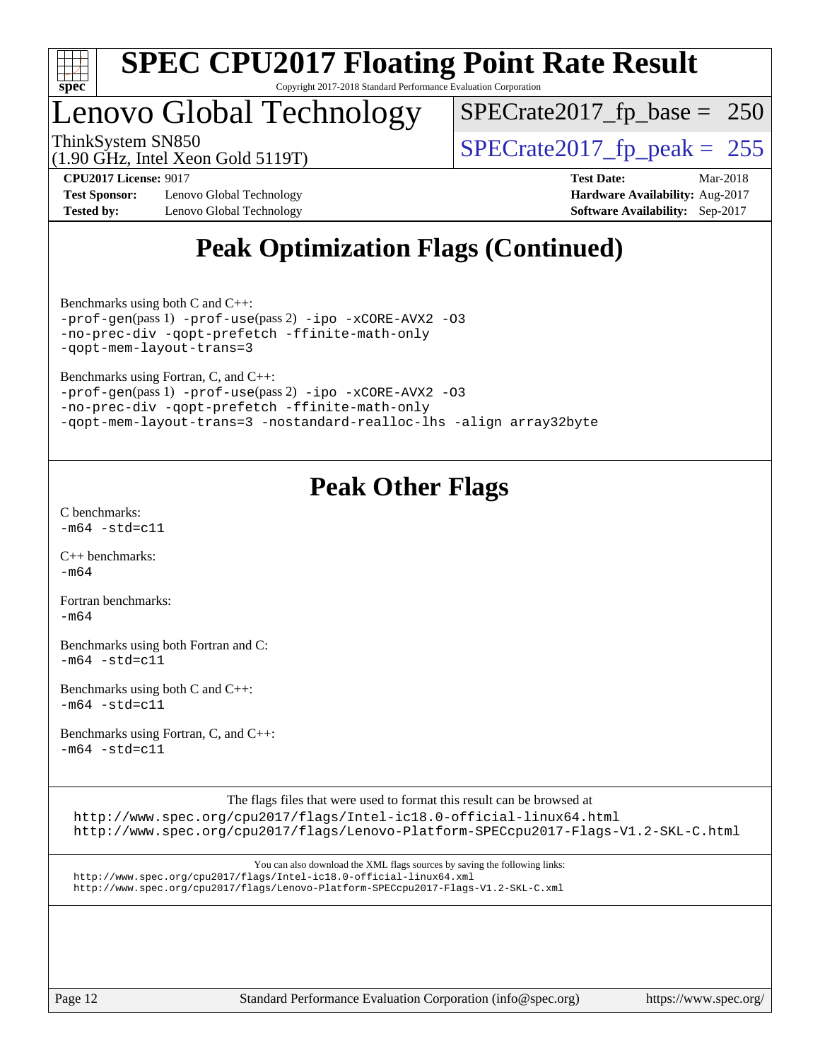

## Lenovo Global Technology

[SPECrate2017\\_fp\\_base =](http://www.spec.org/auto/cpu2017/Docs/result-fields.html#SPECrate2017fpbase) 250

(1.90 GHz, Intel Xeon Gold 5119T)

ThinkSystem SN850<br>(1.90 GHz, Intel Xeon Gold 5119T)  $\begin{array}{r} | \text{SPECrate2017\_fp\_peak} = 255 \end{array}$ 

**[Test Sponsor:](http://www.spec.org/auto/cpu2017/Docs/result-fields.html#TestSponsor)** Lenovo Global Technology **[Hardware Availability:](http://www.spec.org/auto/cpu2017/Docs/result-fields.html#HardwareAvailability)** Aug-2017 **[Tested by:](http://www.spec.org/auto/cpu2017/Docs/result-fields.html#Testedby)** Lenovo Global Technology **[Software Availability:](http://www.spec.org/auto/cpu2017/Docs/result-fields.html#SoftwareAvailability)** Sep-2017

**[CPU2017 License:](http://www.spec.org/auto/cpu2017/Docs/result-fields.html#CPU2017License)** 9017 **[Test Date:](http://www.spec.org/auto/cpu2017/Docs/result-fields.html#TestDate)** Mar-2018

## **[Peak Optimization Flags \(Continued\)](http://www.spec.org/auto/cpu2017/Docs/result-fields.html#PeakOptimizationFlags)**

[Benchmarks using both C and C++](http://www.spec.org/auto/cpu2017/Docs/result-fields.html#BenchmarksusingbothCandCXX): [-prof-gen](http://www.spec.org/cpu2017/results/res2018q2/cpu2017-20180511-05422.flags.html#user_CC_CXXpeak_prof_gen_5aa4926d6013ddb2a31985c654b3eb18169fc0c6952a63635c234f711e6e63dd76e94ad52365559451ec499a2cdb89e4dc58ba4c67ef54ca681ffbe1461d6b36)(pass 1) [-prof-use](http://www.spec.org/cpu2017/results/res2018q2/cpu2017-20180511-05422.flags.html#user_CC_CXXpeak_prof_use_1a21ceae95f36a2b53c25747139a6c16ca95bd9def2a207b4f0849963b97e94f5260e30a0c64f4bb623698870e679ca08317ef8150905d41bd88c6f78df73f19)(pass 2) [-ipo](http://www.spec.org/cpu2017/results/res2018q2/cpu2017-20180511-05422.flags.html#user_CC_CXXpeak_f-ipo) [-xCORE-AVX2](http://www.spec.org/cpu2017/results/res2018q2/cpu2017-20180511-05422.flags.html#user_CC_CXXpeak_f-xCORE-AVX2) [-O3](http://www.spec.org/cpu2017/results/res2018q2/cpu2017-20180511-05422.flags.html#user_CC_CXXpeak_f-O3) [-no-prec-div](http://www.spec.org/cpu2017/results/res2018q2/cpu2017-20180511-05422.flags.html#user_CC_CXXpeak_f-no-prec-div) [-qopt-prefetch](http://www.spec.org/cpu2017/results/res2018q2/cpu2017-20180511-05422.flags.html#user_CC_CXXpeak_f-qopt-prefetch) [-ffinite-math-only](http://www.spec.org/cpu2017/results/res2018q2/cpu2017-20180511-05422.flags.html#user_CC_CXXpeak_f_finite_math_only_cb91587bd2077682c4b38af759c288ed7c732db004271a9512da14a4f8007909a5f1427ecbf1a0fb78ff2a814402c6114ac565ca162485bbcae155b5e4258871) [-qopt-mem-layout-trans=3](http://www.spec.org/cpu2017/results/res2018q2/cpu2017-20180511-05422.flags.html#user_CC_CXXpeak_f-qopt-mem-layout-trans_de80db37974c74b1f0e20d883f0b675c88c3b01e9d123adea9b28688d64333345fb62bc4a798493513fdb68f60282f9a726aa07f478b2f7113531aecce732043)

[Benchmarks using Fortran, C, and C++:](http://www.spec.org/auto/cpu2017/Docs/result-fields.html#BenchmarksusingFortranCandCXX)

```
-prof-gen(pass 1) -prof-use(pass 2) -ipo -xCORE-AVX2 -O3
-no-prec-div -qopt-prefetch -ffinite-math-only
-qopt-mem-layout-trans=3 -nostandard-realloc-lhs -align array32byte
```
### **[Peak Other Flags](http://www.spec.org/auto/cpu2017/Docs/result-fields.html#PeakOtherFlags)**

[C benchmarks](http://www.spec.org/auto/cpu2017/Docs/result-fields.html#Cbenchmarks):  $-m64 - std = c11$  $-m64 - std = c11$ 

[C++ benchmarks:](http://www.spec.org/auto/cpu2017/Docs/result-fields.html#CXXbenchmarks) [-m64](http://www.spec.org/cpu2017/results/res2018q2/cpu2017-20180511-05422.flags.html#user_CXXpeak_intel_intel64_18.0_af43caccfc8ded86e7699f2159af6efc7655f51387b94da716254467f3c01020a5059329e2569e4053f409e7c9202a7efc638f7a6d1ffb3f52dea4a3e31d82ab)

[Fortran benchmarks](http://www.spec.org/auto/cpu2017/Docs/result-fields.html#Fortranbenchmarks):  $-m64$ 

[Benchmarks using both Fortran and C](http://www.spec.org/auto/cpu2017/Docs/result-fields.html#BenchmarksusingbothFortranandC):  $-m64 - std = c11$  $-m64 - std = c11$ 

[Benchmarks using both C and C++](http://www.spec.org/auto/cpu2017/Docs/result-fields.html#BenchmarksusingbothCandCXX):  $-m64 - std = c11$  $-m64 - std = c11$ 

[Benchmarks using Fortran, C, and C++:](http://www.spec.org/auto/cpu2017/Docs/result-fields.html#BenchmarksusingFortranCandCXX)  $-m64 - std = c11$  $-m64 - std = c11$ 

The flags files that were used to format this result can be browsed at

<http://www.spec.org/cpu2017/flags/Intel-ic18.0-official-linux64.html> <http://www.spec.org/cpu2017/flags/Lenovo-Platform-SPECcpu2017-Flags-V1.2-SKL-C.html>

You can also download the XML flags sources by saving the following links: <http://www.spec.org/cpu2017/flags/Intel-ic18.0-official-linux64.xml> <http://www.spec.org/cpu2017/flags/Lenovo-Platform-SPECcpu2017-Flags-V1.2-SKL-C.xml>